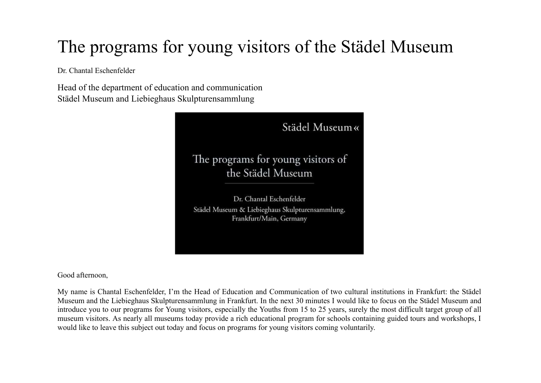### The programs for young visitors of the Städel Museum

Dr. Chantal Eschenfelder

Head of the department of education and communication Städel Museum and Liebieghaus Skulpturensammlung



Good afternoon,

My name is Chantal Eschenfelder, I'm the Head of Education and Communication of two cultural institutions in Frankfurt: the Städel Museum and the Liebieghaus Skulpturensammlung in Frankfurt. In the next 30 minutes I would like to focus on the Städel Museum and introduce you to our programs for Young visitors, especially the Youths from 15 to 25 years, surely the most difficult target group of all museum visitors. As nearly all museums today provide a rich educational program for schools containing guided tours and workshops, I would like to leave this subject out today and focus on programs for young visitors coming voluntarily.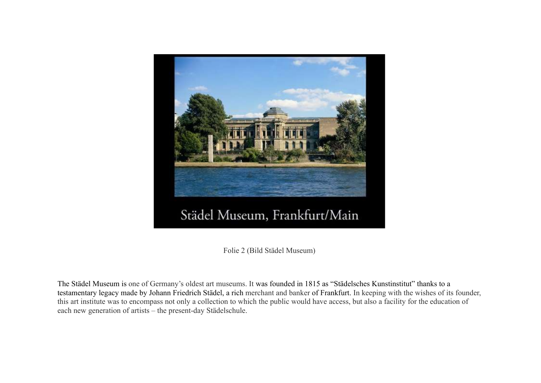

Folie 2 (Bild Städel Museum)

The Städel Museum is one of Germany's oldest art museums. It was founded in 1815 as "Städelsches Kunstinstitut" thanks to a testamentary legacy made by Johann Friedrich Städel, a rich merchant and banker of Frankfurt. In keeping with the wishes of its founder, this art institute was to encompass not only a collection to which the public would have access, but also a facility for the education of each new generation of artists – the present-day Städelschule.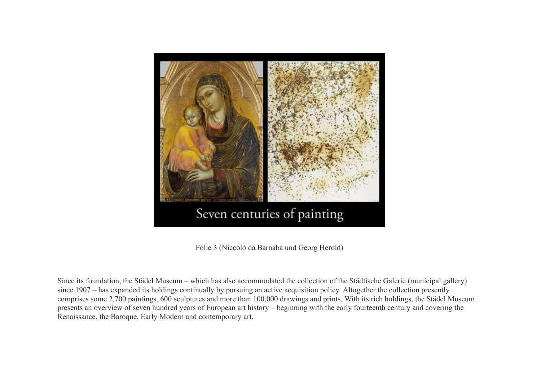

Folie 3 (Niccolò da Barnabà und Georg Herold)

Since its foundation, the Städel Museum – which has also accommodated the collection of the Städtische Galerie (municipal gallery) since 1907 – has expanded its holdings continually by pursuing an active acquisition policy. Altogether the collection presently comprises some 2,700 paintings, 600 sculptures and more than 100,000 drawings and prints. With its rich holdings, the Städel Museum presents an overview of seven hundred years of European art history – beginning with the early fourteenth century and covering the Renaissance, the Baroque, Early Modern and contemporary art.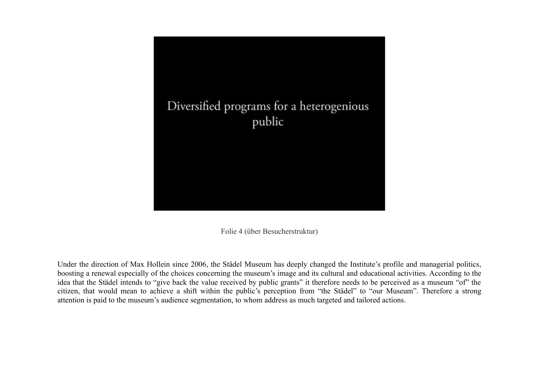

Folie 4 (über Besucherstruktur)

Under the direction of Max Hollein since 2006, the Städel Museum has deeply changed the Institute's profile and managerial politics, boosting a renewal especially of the choices concerning the museum's image and its cultural and educational activities. According to the idea that the Städel intends to "give back the value received by public grants" it therefore needs to be perceived as a museum "of" the citizen, that would mean to achieve a shift within the public's perception from "the Städel" to "our Museum". Therefore a strong attention is paid to the museum's audience segmentation, to whom address as much targeted and tailored actions.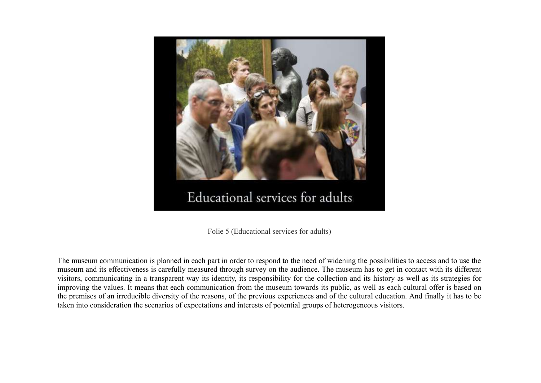

#### Educational services for adults

Folie 5 (Educational services for adults)

The museum communication is planned in each part in order to respond to the need of widening the possibilities to access and to use the museum and its effectiveness is carefully measured through survey on the audience. The museum has to get in contact with its different visitors, communicating in a transparent way its identity, its responsibility for the collection and its history as well as its strategies for improving the values. It means that each communication from the museum towards its public, as well as each cultural offer is based on the premises of an irreducible diversity of the reasons, of the previous experiences and of the cultural education. And finally it has to be taken into consideration the scenarios of expectations and interests of potential groups of heterogeneous visitors.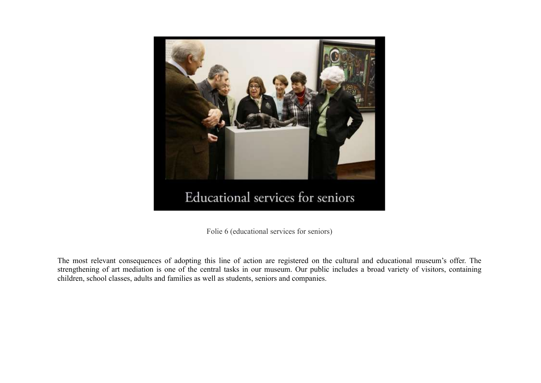

Educational services for seniors

Folie 6 (educational services for seniors)

The most relevant consequences of adopting this line of action are registered on the cultural and educational museum's offer. The strengthening of art mediation is one of the central tasks in our museum. Our public includes a broad variety of visitors, containing children, school classes, adults and families as well as students, seniors and companies.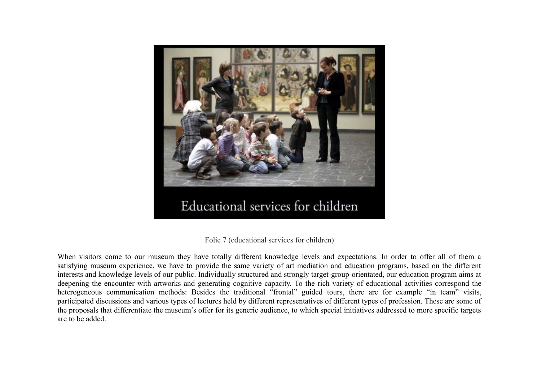

Folie 7 (educational services for children)

When visitors come to our museum they have totally different knowledge levels and expectations. In order to offer all of them a satisfying museum experience, we have to provide the same variety of art mediation and education programs, based on the different interests and knowledge levels of our public. Individually structured and strongly target-group-orientated, our education program aims at deepening the encounter with artworks and generating cognitive capacity. To the rich variety of educational activities correspond the heterogeneous communication methods: Besides the traditional "frontal" guided tours, there are for example "in team" visits, participated discussions and various types of lectures held by different representatives of different types of profession. These are some of the proposals that differentiate the museum's offer for its generic audience, to which special initiatives addressed to more specific targets are to be added.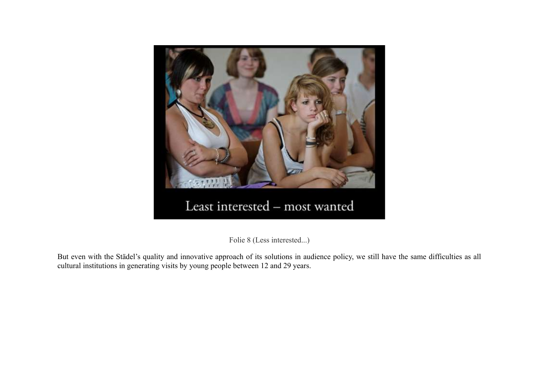

Folie 8 (Less interested...)

But even with the Städel's quality and innovative approach of its solutions in audience policy, we still have the same difficulties as all cultural institutions in generating visits by young people between 12 and 29 years.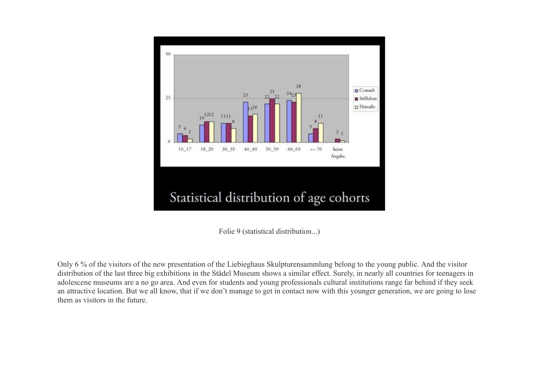

Folie 9 (statistical distribution...)

Only 6 % of the visitors of the new presentation of the Liebieghaus Skulpturensammlung belong to the young public. And the visitor distribution of the last three big exhibitions in the Städel Museum shows a similar effect. Surely, in nearly all countries for teenagers in adolescene museums are a no go area. And even for students and young professionals cultural institutions range far behind if they seek an attractive location. But we all know, that if we don't manage to get in contact now with this younger generation, we are going to lose them as visitors in the future.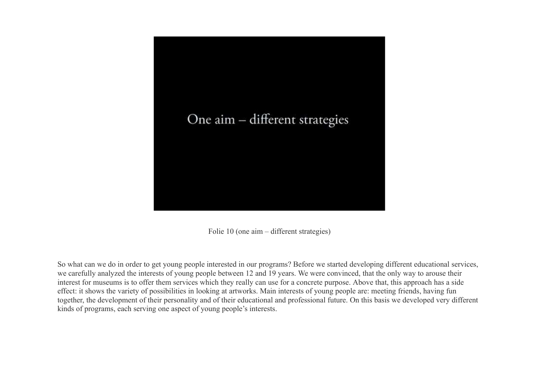

Folie 10 (one aim – different strategies)

So what can we do in order to get young people interested in our programs? Before we started developing different educational services, we carefully analyzed the interests of young people between 12 and 19 years. We were convinced, that the only way to arouse their interest for museums is to offer them services which they really can use for a concrete purpose. Above that, this approach has a side effect: it shows the variety of possibilities in looking at artworks. Main interests of young people are: meeting friends, having fun together, the development of their personality and of their educational and professional future. On this basis we developed very different kinds of programs, each serving one aspect of young people's interests.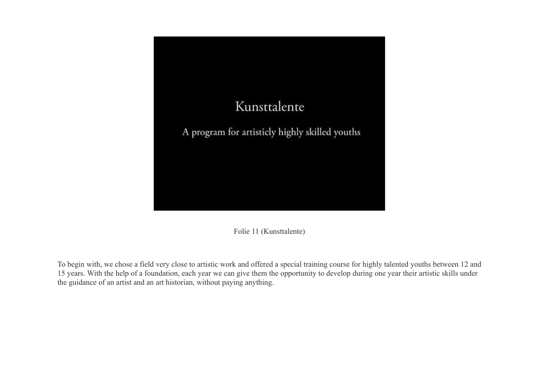

Folie 11 (Kunsttalente)

To begin with, we chose a field very close to artistic work and offered a special training course for highly talented youths between 12 and 15 years. With the help of a foundation, each year we can give them the opportunity to develop during one year their artistic skills under the guidance of an artist and an art historian, without paying anything.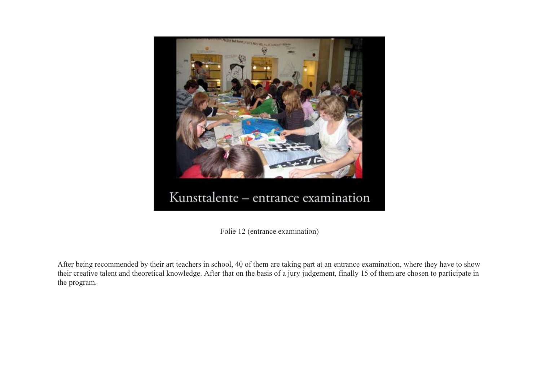

Folie 12 (entrance examination)

After being recommended by their art teachers in school, 40 of them are taking part at an entrance examination, where they have to show their creative talent and theoretical knowledge. After that on the basis of a jury judgement, finally 15 of them are chosen to participate in the program.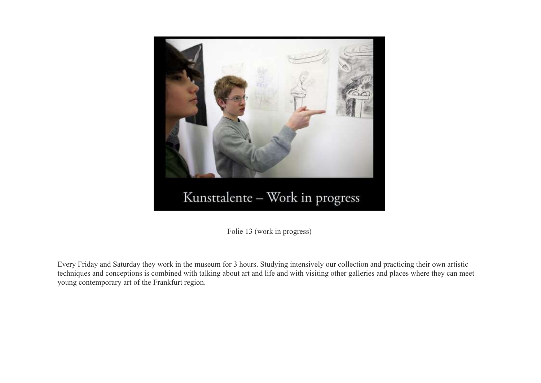

Folie 13 (work in progress)

Every Friday and Saturday they work in the museum for 3 hours. Studying intensively our collection and practicing their own artistic techniques and conceptions is combined with talking about art and life and with visiting other galleries and places where they can meet young contemporary art of the Frankfurt region.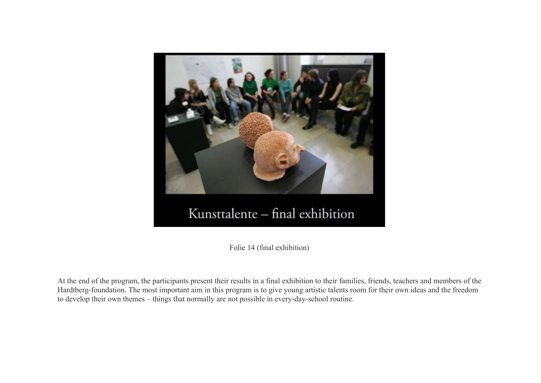

Folie 14 (final exhibition)

At the end of the program, the participants present their results in a final exhibition to their families, friends, teachers and members of the Hardtberg-foundation. The most important aim in this program is to give young artistic talents room for their own ideas and the freedom to develop their own themes – things that normally are not possible in every-day-school routine.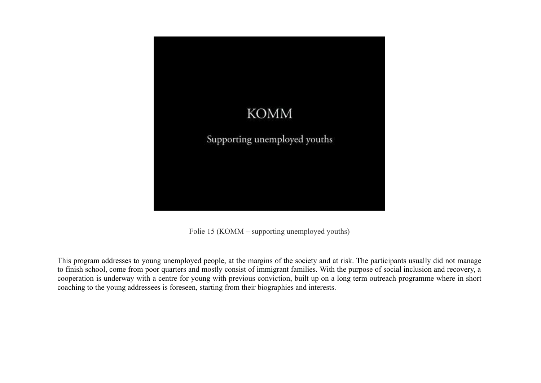

Folie 15 (KOMM – supporting unemployed youths)

This program addresses to young unemployed people, at the margins of the society and at risk. The participants usually did not manage to finish school, come from poor quarters and mostly consist of immigrant families. With the purpose of social inclusion and recovery, a cooperation is underway with a centre for young with previous conviction, built up on a long term outreach programme where in short coaching to the young addressees is foreseen, starting from their biographies and interests.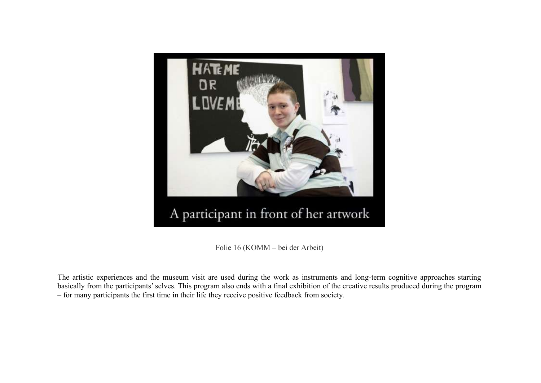

Folie 16 (KOMM – bei der Arbeit)

The artistic experiences and the museum visit are used during the work as instruments and long-term cognitive approaches starting basically from the participants'selves. This program also ends with a final exhibition of the creative results produced during the program – for many participants the first time in their life they receive positive feedback from society.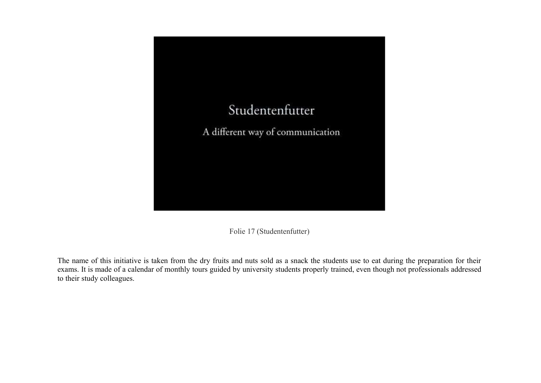

Folie 17 (Studentenfutter)

The name of this initiative is taken from the dry fruits and nuts sold as a snack the students use to eat during the preparation for their exams. It is made of a calendar of monthly tours guided by university students properly trained, even though not professionals addressed to their study colleagues.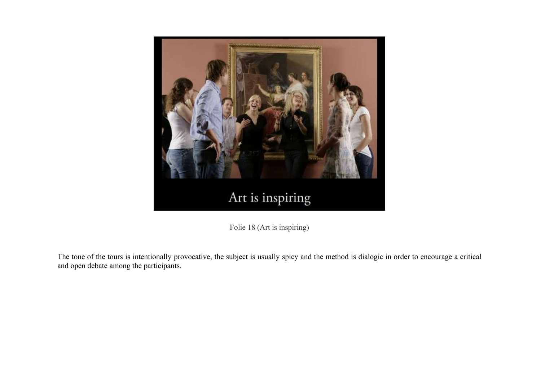

Folie 18 (Art is inspiring)

The tone of the tours is intentionally provocative, the subject is usually spicy and the method is dialogic in order to encourage a critical and open debate among the participants.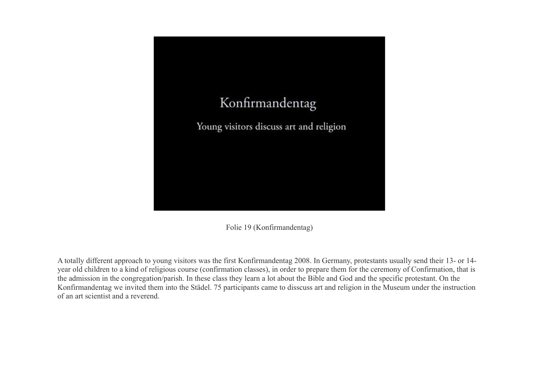

Folie 19 (Konfirmandentag)

A totally different approach to young visitors was the first Konfirmandentag 2008. In Germany, protestants usually send their 13- or 14 year old children to a kind of religious course (confirmation classes), in order to prepare them for the ceremony of Confirmation, that is the admission in the congregation/parish. In these class they learn a lot about the Bible and God and the specific protestant. On the Konfirmandentag we invited them into the Städel. 75 participants came to disscuss art and religion in the Museum under the instruction of an art scientist and a reverend.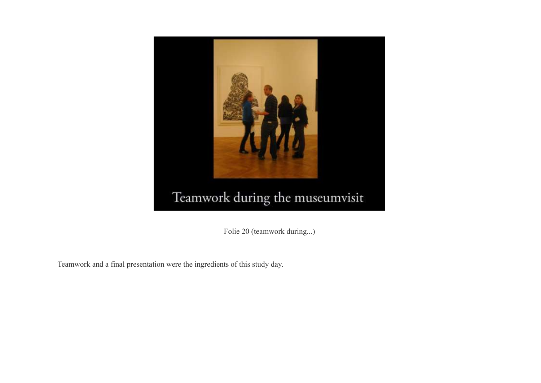

Folie 20 (teamwork during...)

Teamwork and a final presentation were the ingredients of this study day.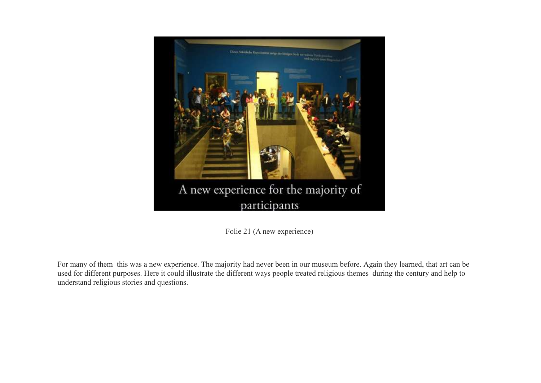

Folie 21 (A new experience)

For many of them this was a new experience. The majority had never been in our museum before. Again they learned, that art can be used for different purposes. Here it could illustrate the different ways people treated religious themes during the century and help to understand religious stories and questions.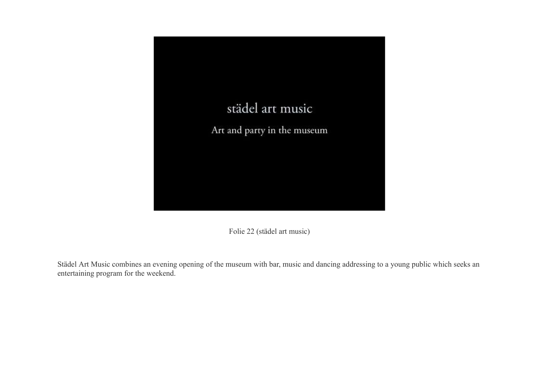

Folie 22 (städel art music)

Städel Art Music combines an evening opening of the museum with bar, music and dancing addressing to a young public which seeks an entertaining program for the weekend.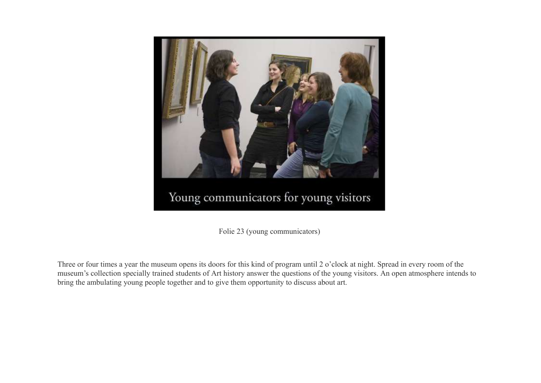

Folie 23 (young communicators)

Three or four times a year the museum opens its doors for this kind of program until 2 o'clock at night. Spread in every room of the museum's collection specially trained students of Art history answer the questions of the young visitors. An open atmosphere intends to bring the ambulating young people together and to give them opportunity to discuss about art.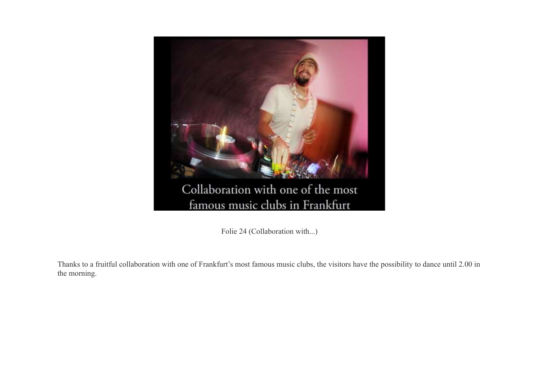

Folie 24 (Collaboration with...)

Thanks to a fruitful collaboration with one of Frankfurt's most famous music clubs, the visitors have the possibility to dance until 2.00 in the morning.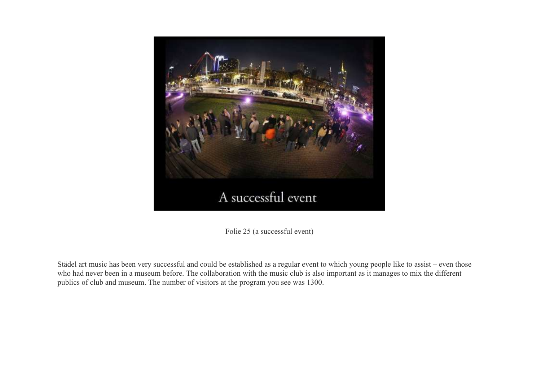

Folie 25 (a successful event)

Städel art music has been very successful and could be established as a regular event to which young people like to assist – even those who had never been in a museum before. The collaboration with the music club is also important as it manages to mix the different publics of club and museum. The number of visitors at the program you see was 1300.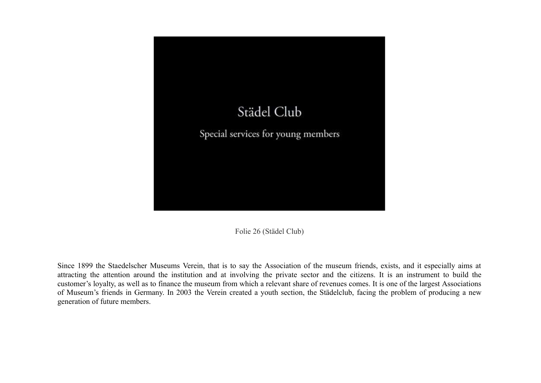

Folie 26 (Städel Club)

Since 1899 the Staedelscher Museums Verein, that is to say the Association of the museum friends, exists, and it especially aims at attracting the attention around the institution and at involving the private sector and the citizens. It is an instrument to build the customer's loyalty, as well as to finance the museum from which a relevant share of revenues comes. It is one of the largest Associations of Museum's friends in Germany. In 2003 the Verein created a youth section, the Städelclub, facing the problem of producing a new generation of future members.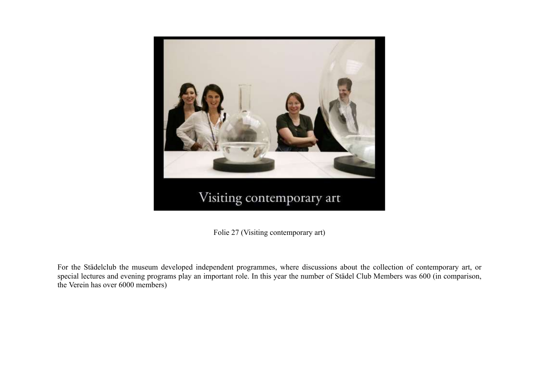

Folie 27 (Visiting contemporary art)

For the Städelclub the museum developed independent programmes, where discussions about the collection of contemporary art, or special lectures and evening programs play an important role. In this year the number of Städel Club Members was 600 (in comparison, the Verein has over 6000 members)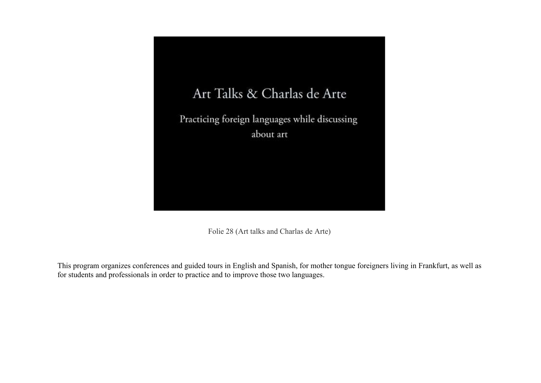

Folie 28 (Art talks and Charlas de Arte)

This program organizes conferences and guided tours in English and Spanish, for mother tongue foreigners living in Frankfurt, as well as for students and professionals in order to practice and to improve those two languages.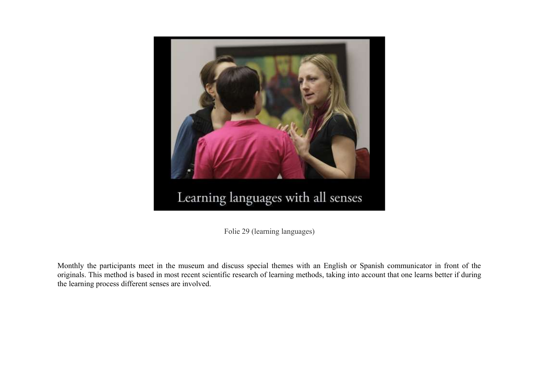

Folie 29 (learning languages)

Monthly the participants meet in the museum and discuss special themes with an English or Spanish communicator in front of the originals. This method is based in most recent scientific research of learning methods, taking into account that one learns better if during the learning process different senses are involved.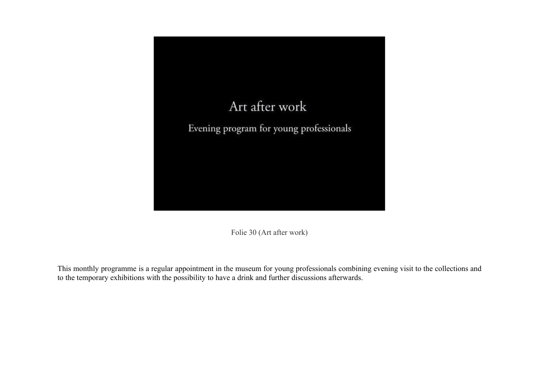

Folie 30 (Art after work)

This monthly programme is a regular appointment in the museum for young professionals combining evening visit to the collections and to the temporary exhibitions with the possibility to have a drink and further discussions afterwards.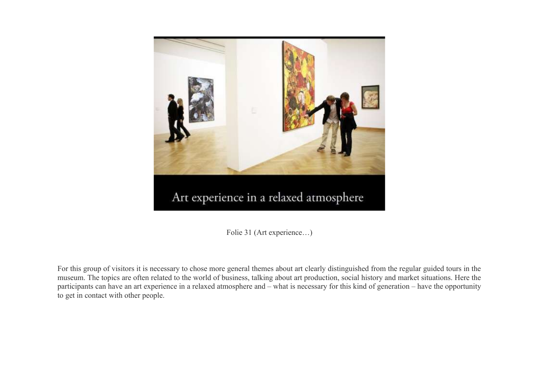

Folie 31 (Art experience…)

For this group of visitors it is necessary to chose more general themes about art clearly distinguished from the regular guided tours in the museum. The topics are often related to the world of business, talking about art production, social history and market situations. Here the participants can have an art experience in a relaxed atmosphere and – what is necessary for this kind of generation – have the opportunity to get in contact with other people.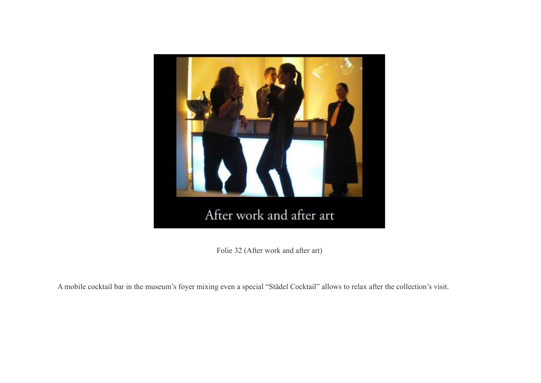

Folie 32 (After work and after art)

A mobile cocktail bar in the museum's foyer mixing even a special "Städel Cocktail" allows to relax after the collection's visit.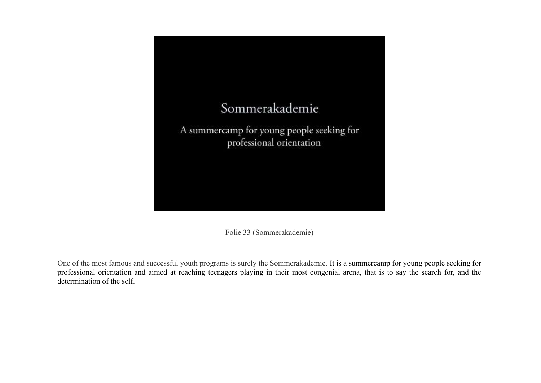

Folie 33 (Sommerakademie)

One of the most famous and successful youth programs is surely the Sommerakademie. It is a summercamp for young people seeking for professional orientation and aimed at reaching teenagers playing in their most congenial arena, that is to say the search for, and the determination of the self.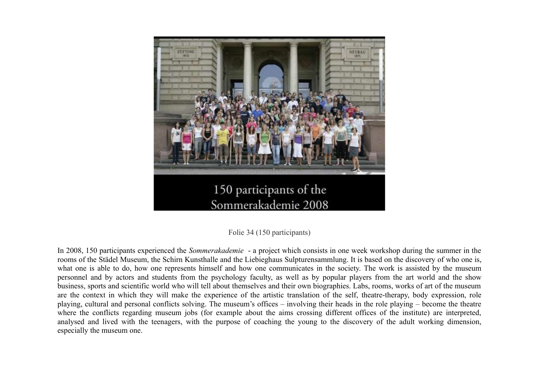

Folie 34 (150 participants)

In 2008, 150 participants experienced the *Sommerakademie* - a project which consists in one week workshop during the summer in the rooms of the Städel Museum, the Schirn Kunsthalle and the Liebieghaus Sulpturensammlung. It is based on the discovery of who one is, what one is able to do, how one represents himself and how one communicates in the society. The work is assisted by the museum personnel and by actors and students from the psychology faculty, as well as by popular players from the art world and the show business, sports and scientific world who will tell about themselves and their own biographies. Labs, rooms, works of art of the museum are the context in which they will make the experience of the artistic translation of the self, theatre-therapy, body expression, role playing, cultural and personal conflicts solving. The museum's offices – involving their heads in the role playing – become the theatre where the conflicts regarding museum jobs (for example about the aims crossing different offices of the institute) are interpreted, analysed and lived with the teenagers, with the purpose of coaching the young to the discovery of the adult working dimension, especially the museum one.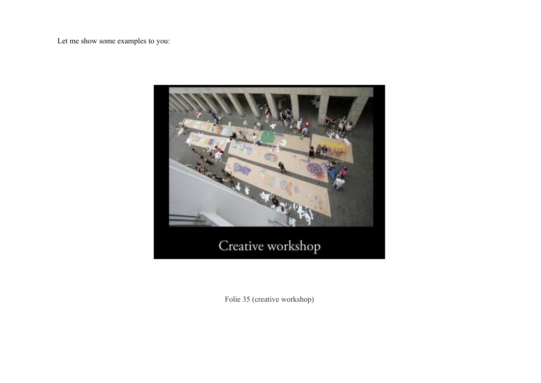Let me show some examples to you:



Folie 35 (creative workshop)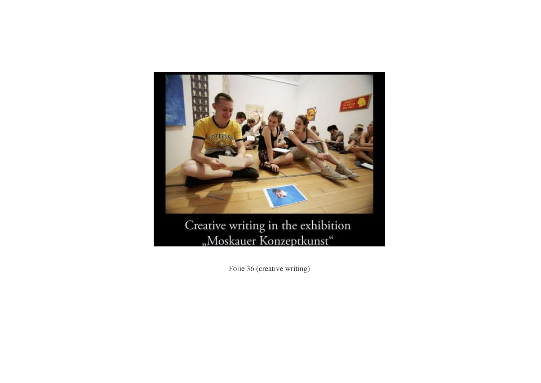

## Creative writing in the exhibition<br>"Moskauer Konzeptkunst"

Folie 36 (creative writing)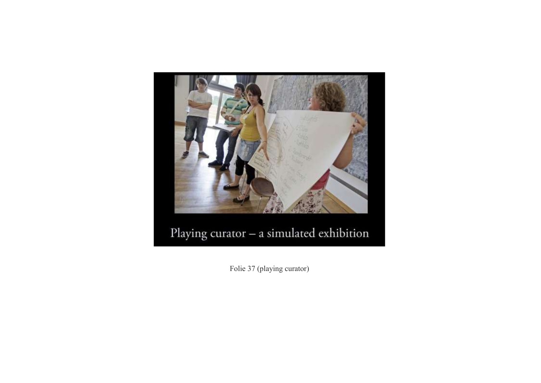

Folie 37 (playing curator)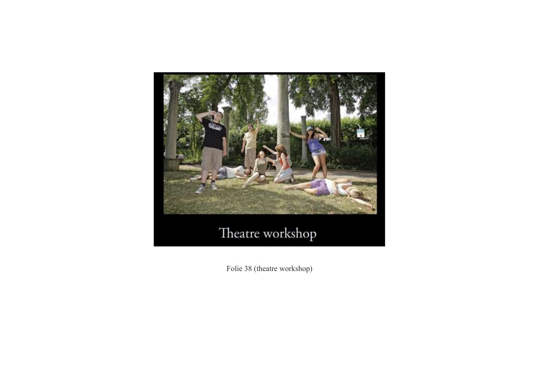

Folie 38 (theatre workshop)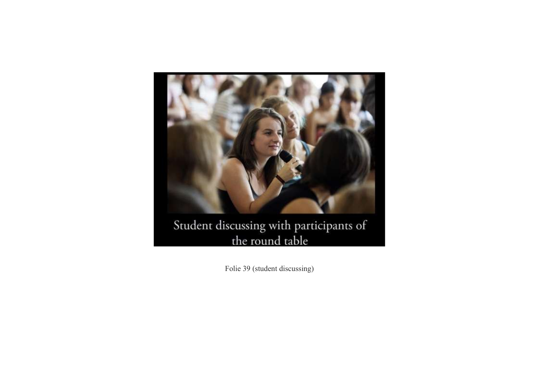

# Student discussing with participants of<br>the round table

Folie 39 (student discussing)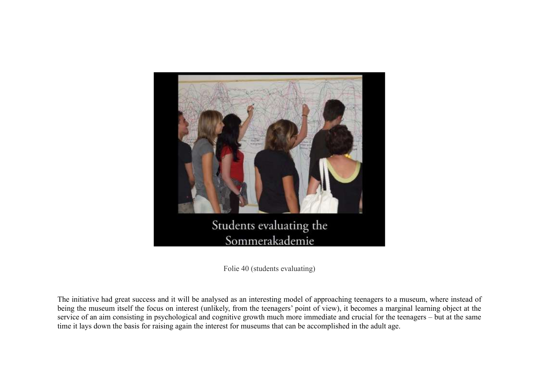

Folie 40 (students evaluating)

The initiative had great success and it will be analysed as an interesting model of approaching teenagers to a museum, where instead of being the museum itself the focus on interest (unlikely, from the teenagers' point of view), it becomes a marginal learning object at the service of an aim consisting in psychological and cognitive growth much more immediate and crucial for the teenagers – but at the same time it lays down the basis for raising again the interest for museums that can be accomplished in the adult age.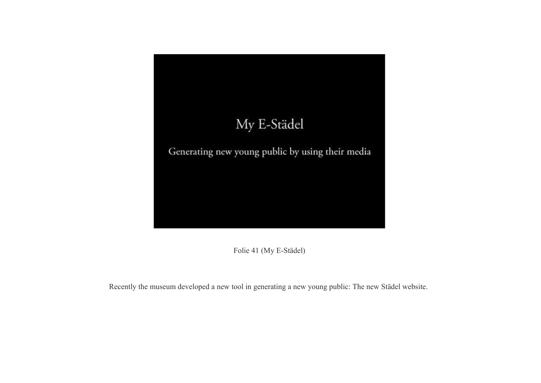### My E-Städel

Generating new young public by using their media

Folie 41 (My E-Städel)

Recently the museum developed a new tool in generating a new young public: The new Städel website.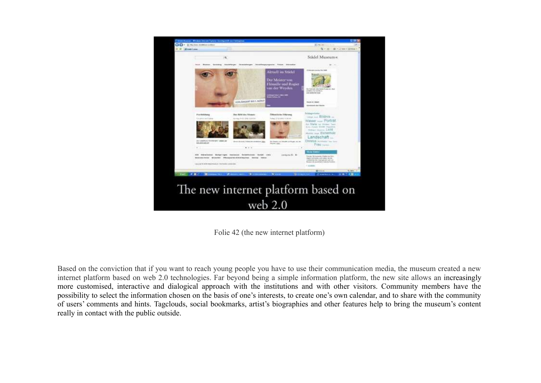

Folie 42 (the new internet platform)

Based on the conviction that if you want to reach young people you have to use their communication media, the museum created a new internet platform based on web 2.0 technologies. Far beyond being a simple information platform, the new site allows an increasingly more customised, interactive and dialogical approach with the institutions and with other visitors. Community members have the possibility to select the information chosen on the basis of one's interests, to create one's own calendar, and to share with the community of users' comments and hints. Tagclouds, social bookmarks, artist's biographies and other features help to bring the museum's content really in contact with the public outside.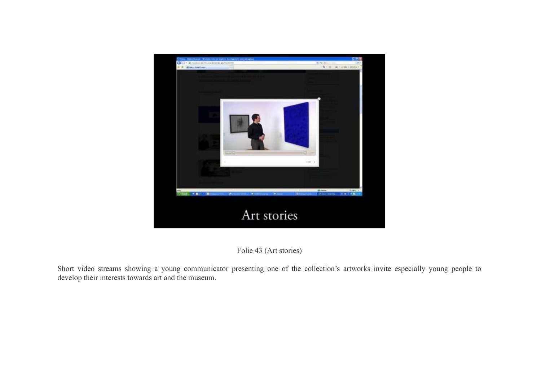

#### Folie 43 (Art stories)

Short video streams showing a young communicator presenting one of the collection's artworks invite especially young people to develop their interests towards art and the museum.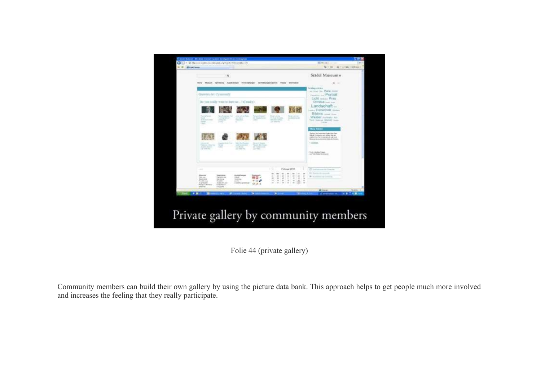

Folie 44 (private gallery)

Community members can build their own gallery by using the picture data bank. This approach helps to get people much more involved and increases the feeling that they really participate.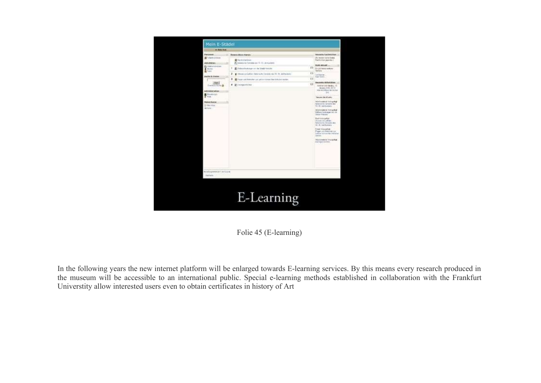

Folie 45 (E-learning)

In the following years the new internet platform will be enlarged towards E-learning services. By this means every research produced in the museum will be accessible to an international public. Special e-learning methods established in collaboration with the Frankfurt Universtity allow interested users even to obtain certificates in history of Art